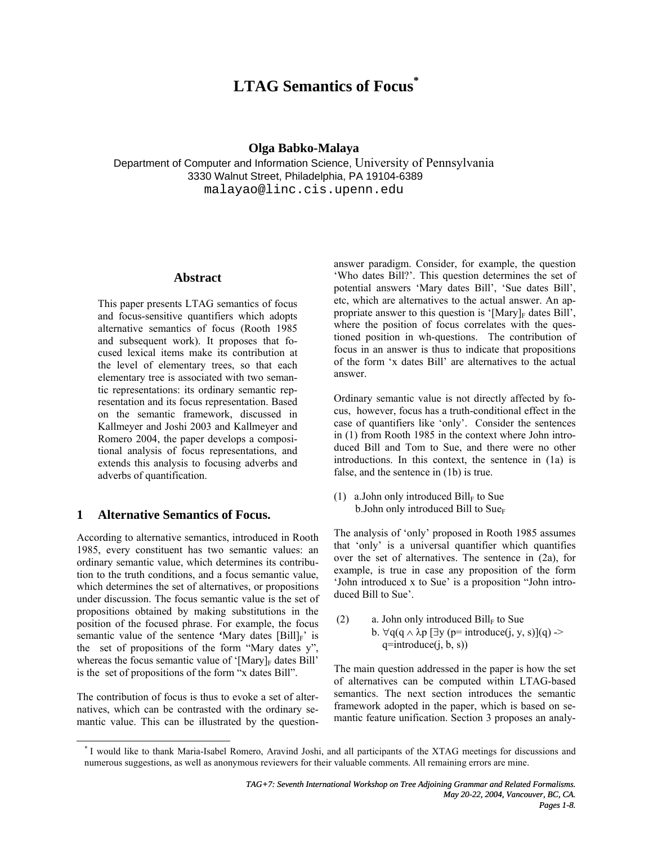# **LTAG Semantics of Focus\***

## **Olga Babko-Malaya**

Department of Computer and Information Science, University of Pennsylvania 3330 Walnut Street, Philadelphia, PA 19104-6389 malayao@linc.cis.upenn.edu

# **Abstract**

This paper presents LTAG semantics of focus and focus-sensitive quantifiers which adopts alternative semantics of focus (Rooth 1985 and subsequent work). It proposes that focused lexical items make its contribution at the level of elementary trees, so that each elementary tree is associated with two semantic representations: its ordinary semantic representation and its focus representation. Based on the semantic framework, discussed in Kallmeyer and Joshi 2003 and Kallmeyer and Romero 2004, the paper develops a compositional analysis of focus representations, and extends this analysis to focusing adverbs and adverbs of quantification.

## **1 Alternative Semantics of Focus.**

According to alternative semantics, introduced in Rooth 1985, every constituent has two semantic values: an ordinary semantic value, which determines its contribution to the truth conditions, and a focus semantic value, which determines the set of alternatives, or propositions under discussion. The focus semantic value is the set of propositions obtained by making substitutions in the position of the focused phrase. For example, the focus semantic value of the sentence  $^4$ Mary dates  $[Bill]_F$ ' is the set of propositions of the form "Mary dates y", whereas the focus semantic value of '[Mary] $_F$  dates Bill' is the set of propositions of the form "x dates Bill".

The contribution of focus is thus to evoke a set of alternatives, which can be contrasted with the ordinary semantic value. This can be illustrated by the questionanswer paradigm. Consider, for example, the question 'Who dates Bill?'. This question determines the set of potential answers 'Mary dates Bill', 'Sue dates Bill', etc, which are alternatives to the actual answer. An appropriate answer to this question is '[Mary] $_F$  dates Bill', where the position of focus correlates with the questioned position in wh-questions. The contribution of focus in an answer is thus to indicate that propositions of the form 'x dates Bill' are alternatives to the actual answer.

Ordinary semantic value is not directly affected by focus, however, focus has a truth-conditional effect in the case of quantifiers like 'only'. Consider the sentences in (1) from Rooth 1985 in the context where John introduced Bill and Tom to Sue, and there were no other introductions. In this context, the sentence in (1a) is false, and the sentence in (1b) is true.

(1) a. John only introduced  $\text{Bill}_F$  to Sue b. John only introduced Bill to  $Sue_F$ 

The analysis of 'only' proposed in Rooth 1985 assumes that 'only' is a universal quantifier which quantifies over the set of alternatives. The sentence in (2a), for example, is true in case any proposition of the form 'John introduced x to Sue' is a proposition "John introduced Bill to Sue'.

(2) a. John only introduced  $\text{Bill}_F$  to Sue b.  $\forall q(q \land \lambda p$  [ $\exists y$  (p= introduce(j, y, s)](q) ->  $q=$ introduce $(j, b, s)$ 

The main question addressed in the paper is how the set of alternatives can be computed within LTAG-based semantics. The next section introduces the semantic framework adopted in the paper, which is based on semantic feature unification. Section 3 proposes an analy-

<sup>\*</sup> I would like to thank Maria-Isabel Romero, Aravind Joshi, and all participants of the XTAG meetings for discussions and numerous suggestions, as well as anonymous reviewers for their valuable comments. All remaining errors are mine.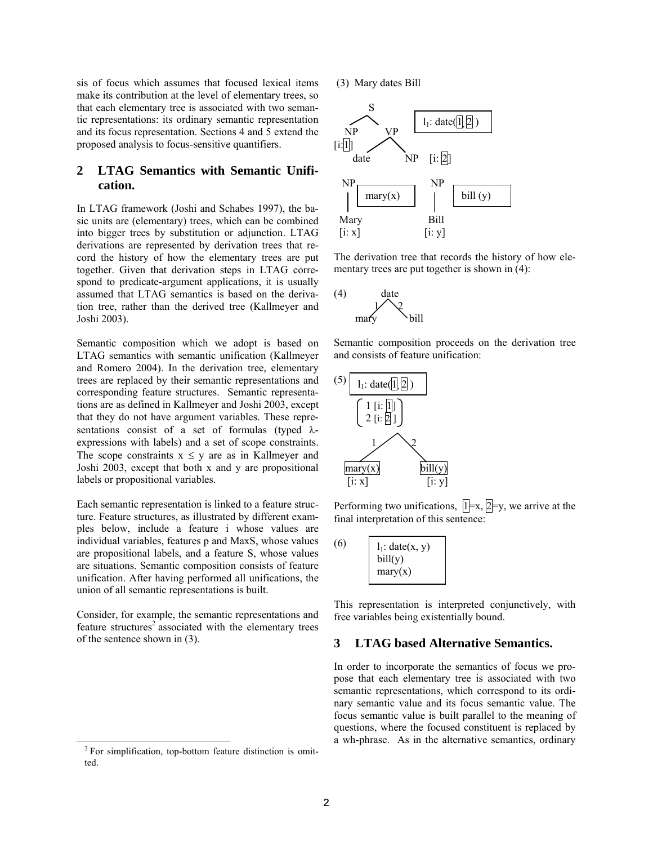sis of focus which assumes that focused lexical items make its contribution at the level of elementary trees, so that each elementary tree is associated with two semantic representations: its ordinary semantic representation and its focus representation. Sections 4 and 5 extend the proposed analysis to focus-sensitive quantifiers.

# **2 LTAG Semantics with Semantic Unification.**

In LTAG framework (Joshi and Schabes 1997), the basic units are (elementary) trees, which can be combined into bigger trees by substitution or adjunction. LTAG derivations are represented by derivation trees that record the history of how the elementary trees are put together. Given that derivation steps in LTAG correspond to predicate-argument applications, it is usually assumed that LTAG semantics is based on the derivation tree, rather than the derived tree (Kallmeyer and Joshi 2003).

Semantic composition which we adopt is based on LTAG semantics with semantic unification (Kallmeyer and Romero 2004). In the derivation tree, elementary trees are replaced by their semantic representations and corresponding feature structures. Semantic representations are as defined in Kallmeyer and Joshi 2003, except that they do not have argument variables. These representations consist of a set of formulas (typed  $\lambda$ expressions with labels) and a set of scope constraints. The scope constraints  $x \leq y$  are as in Kallmeyer and Joshi 2003, except that both x and y are propositional labels or propositional variables.

Each semantic representation is linked to a feature structure. Feature structures, as illustrated by different examples below, include a feature i whose values are individual variables, features p and MaxS, whose values are propositional labels, and a feature S, whose values are situations. Semantic composition consists of feature unification. After having performed all unifications, the union of all semantic representations is built.

Consider, for example, the semantic representations and feature structures<sup>2</sup> associated with the elementary trees of the sentence shown in (3).

(3) Mary dates Bill



The derivation tree that records the history of how elementary trees are put together is shown in (4):



Semantic composition proceeds on the derivation tree and consists of feature unification:



Performing two unifications,  $\overline{1} = x$ ,  $\overline{2} = y$ , we arrive at the final interpretation of this sentence:

| bill(y)<br>mary(x) | (6) | $l_1$ : date $(x, y)$ |
|--------------------|-----|-----------------------|
|--------------------|-----|-----------------------|

This representation is interpreted conjunctively, with free variables being existentially bound.

## **3 LTAG based Alternative Semantics.**

In order to incorporate the semantics of focus we propose that each elementary tree is associated with two semantic representations, which correspond to its ordinary semantic value and its focus semantic value. The focus semantic value is built parallel to the meaning of questions, where the focused constituent is replaced by a wh-phrase. As in the alternative semantics, ordinary

<sup>&</sup>lt;sup>2</sup> For simplification, top-bottom feature distinction is omitted.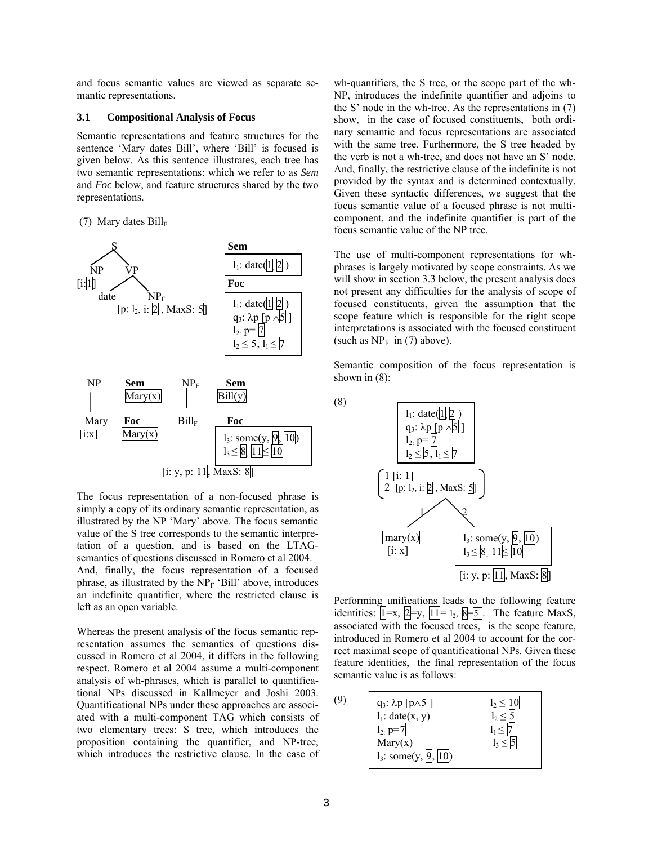and focus semantic values are viewed as separate semantic representations.

#### **3.1 Compositional Analysis of Focus**

Semantic representations and feature structures for the sentence 'Mary dates Bill', where 'Bill' is focused is given below. As this sentence illustrates, each tree has two semantic representations: which we refer to as *Sem* and *Foc* below, and feature structures shared by the two representations.

#### (7) Mary dates  $Bill_F$



The focus representation of a non-focused phrase is simply a copy of its ordinary semantic representation, as illustrated by the NP 'Mary' above. The focus semantic value of the S tree corresponds to the semantic interpretation of a question, and is based on the LTAGsemantics of questions discussed in Romero et al 2004. And, finally, the focus representation of a focused phrase, as illustrated by the  $NP<sub>F</sub>$  'Bill' above, introduces an indefinite quantifier, where the restricted clause is left as an open variable.

Whereas the present analysis of the focus semantic representation assumes the semantics of questions discussed in Romero et al 2004, it differs in the following respect. Romero et al 2004 assume a multi-component analysis of wh-phrases, which is parallel to quantificational NPs discussed in Kallmeyer and Joshi 2003. Quantificational NPs under these approaches are associated with a multi-component TAG which consists of two elementary trees: S tree, which introduces the proposition containing the quantifier, and NP-tree, which introduces the restrictive clause. In the case of wh-quantifiers, the S tree, or the scope part of the wh-NP, introduces the indefinite quantifier and adjoins to the S' node in the wh-tree. As the representations in (7) show, in the case of focused constituents, both ordinary semantic and focus representations are associated with the same tree. Furthermore, the S tree headed by the verb is not a wh-tree, and does not have an S' node. And, finally, the restrictive clause of the indefinite is not provided by the syntax and is determined contextually. Given these syntactic differences, we suggest that the focus semantic value of a focused phrase is not multicomponent, and the indefinite quantifier is part of the focus semantic value of the NP tree.

The use of multi-component representations for whphrases is largely motivated by scope constraints. As we will show in section 3.3 below, the present analysis does not present any difficulties for the analysis of scope of focused constituents, given the assumption that the scope feature which is responsible for the right scope interpretations is associated with the focused constituent (such as  $NP<sub>F</sub>$  in (7) above).

Semantic composition of the focus representation is shown in  $(8)$ :



Performing unifications leads to the following feature identities:  $\overline{1}$  =x,  $\overline{2}$  =y,  $\overline{11}$  = 1<sub>2</sub>,  $\overline{8}$  = 5 . The feature MaxS, associated with the focused trees, is the scope feature, introduced in Romero et al 2004 to account for the correct maximal scope of quantificational NPs. Given these feature identities, the final representation of the focus semantic value is as follows:

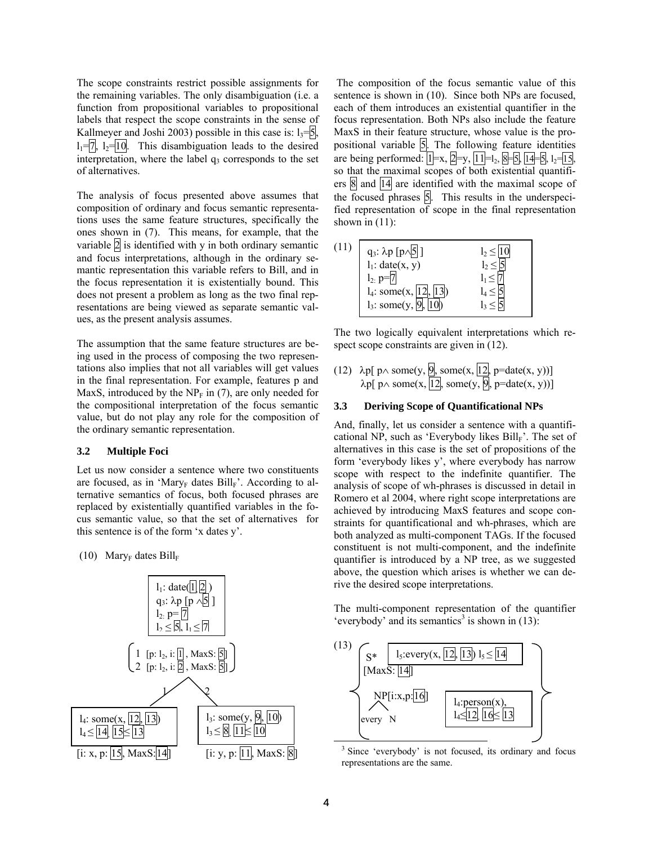The scope constraints restrict possible assignments for the remaining variables. The only disambiguation (i.e. a function from propositional variables to propositional labels that respect the scope constraints in the sense of Kallmeyer and Joshi 2003) possible in this case is:  $1<sub>3</sub>=15$ ,  $l_1=7$ ,  $l_2=10$ . This disambiguation leads to the desired interpretation, where the label  $q_3$  corresponds to the set of alternatives.

The analysis of focus presented above assumes that composition of ordinary and focus semantic representations uses the same feature structures, specifically the ones shown in (7). This means, for example, that the variable  $2$  is identified with y in both ordinary semantic and focus interpretations, although in the ordinary semantic representation this variable refers to Bill, and in the focus representation it is existentially bound. This does not present a problem as long as the two final representations are being viewed as separate semantic values, as the present analysis assumes.

The assumption that the same feature structures are being used in the process of composing the two representations also implies that not all variables will get values in the final representation. For example, features p and MaxS, introduced by the  $NP<sub>F</sub>$  in (7), are only needed for the compositional interpretation of the focus semantic value, but do not play any role for the composition of the ordinary semantic representation.

### **3.2 Multiple Foci**

Let us now consider a sentence where two constituents are focused, as in 'Mary<sub>F</sub> dates  $Bill_F$ '. According to alternative semantics of focus, both focused phrases are replaced by existentially quantified variables in the focus semantic value, so that the set of alternatives for this sentence is of the form 'x dates y'.

(10) Mary<sub>F</sub> dates  $\text{Bill}_F$ 



 The composition of the focus semantic value of this sentence is shown in (10). Since both NPs are focused, each of them introduces an existential quantifier in the focus representation. Both NPs also include the feature MaxS in their feature structure, whose value is the propositional variable  $\boxed{5}$ . The following feature identities are being performed:  $\overline{1}$  = x,  $\overline{2}$  = y,  $\overline{11}$  = l<sub>2</sub>,  $\overline{8}$  =  $\overline{5}$ ,  $\overline{14}$  =  $\overline{5}$ ,  $\overline{12}$ = $\overline{15}$ , so that the maximal scopes of both existential quantifiers  $\frac{8}{2}$  and  $\frac{14}{4}$  are identified with the maximal scope of the focused phrases  $5$ . This results in the underspecified representation of scope in the final representation shown in  $(11)$ :



The two logically equivalent interpretations which respect scope constraints are given in  $(12)$ .

(12)  $\lambda p$ [ p $\wedge$  some(y, 9, some(x, |12, p=date(x, y))]  $\lambda p$ [ p $\land$  some(x, |12|, some(y, |9|, p=date(x, y))]

## **3.3 Deriving Scope of Quantificational NPs**

And, finally, let us consider a sentence with a quantificational NP, such as 'Everybody likes  $Bill_F$ '. The set of alternatives in this case is the set of propositions of the form 'everybody likes y', where everybody has narrow scope with respect to the indefinite quantifier. The analysis of scope of wh-phrases is discussed in detail in Romero et al 2004, where right scope interpretations are achieved by introducing MaxS features and scope constraints for quantificational and wh-phrases, which are both analyzed as multi-component TAGs. If the focused constituent is not multi-component, and the indefinite quantifier is introduced by a NP tree, as we suggested above, the question which arises is whether we can derive the desired scope interpretations.

The multi-component representation of the quantifier 'everybody' and its semantics<sup>3</sup> is shown in  $(13)$ :



representations are the same.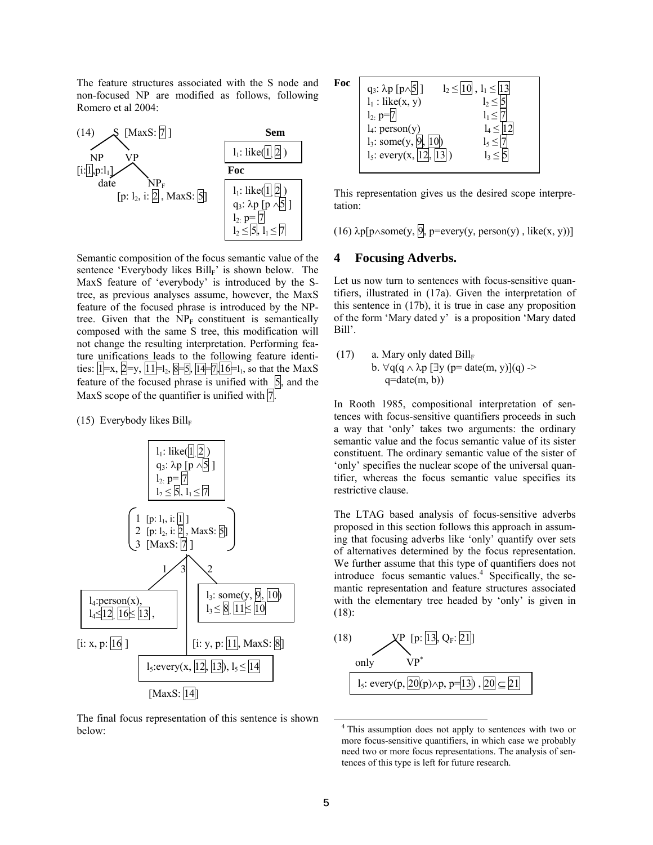The feature structures associated with the S node and non-focused NP are modified as follows, following Romero et al 2004:



Semantic composition of the focus semantic value of the sentence 'Everybody likes  $\text{Bill}_F$ ' is shown below. The MaxS feature of 'everybody' is introduced by the Stree, as previous analyses assume, however, the MaxS feature of the focused phrase is introduced by the NPtree. Given that the  $NP<sub>F</sub>$  constituent is semantically composed with the same S tree, this modification will not change the resulting interpretation. Performing feature unifications leads to the following feature identities:  $1 = x$ ,  $2 = y$ ,  $11 = 1_2$ ,  $8 = 5$ ,  $14 = 7,16 = 1_1$ , so that the MaxS feature of the focused phrase is unified with  $\overline{5}$ , and the MaxS scope of the quantifier is unified with  $7$ .

(15) Everybody likes  $Bill_F$ 



The final focus representation of this sentence is shown below:

| Foc | q <sub>3</sub> : $\lambda p$ [p $\wedge$ <sup>5</sup> ]<br>$l_2 \leq l_1$ | $\leq$ 13 |
|-----|---------------------------------------------------------------------------|-----------|
|     | $l_1$ : like(x, y)<br>$l_2$ p=                                            |           |
|     | $l_4$ : person(y)<br>$l_3$ : some(y, 9                                    |           |
|     | $l_5$ : every $(x,$                                                       |           |

This representation gives us the desired scope interpretation:

(16)  $\lambda p[p\land some(y, 0], p=every(y, person(y), like(x, y))]$ 

# **4 Focusing Adverbs.**

Let us now turn to sentences with focus-sensitive quantifiers, illustrated in (17a). Given the interpretation of this sentence in (17b), it is true in case any proposition of the form 'Mary dated y' is a proposition 'Mary dated Bill'.

(17) a. Mary only dated Bill<sub>F</sub>  
b. 
$$
\forall q(q \land \lambda p \ [\exists y (p=date(m, y)](q) \rightarrow q=date(m, b))
$$

In Rooth 1985, compositional interpretation of sentences with focus-sensitive quantifiers proceeds in such a way that 'only' takes two arguments: the ordinary semantic value and the focus semantic value of its sister constituent. The ordinary semantic value of the sister of 'only' specifies the nuclear scope of the universal quantifier, whereas the focus semantic value specifies its restrictive clause.

The LTAG based analysis of focus-sensitive adverbs proposed in this section follows this approach in assuming that focusing adverbs like 'only' quantify over sets of alternatives determined by the focus representation. We further assume that this type of quantifiers does not introduce focus semantic values. $4$  Specifically, the semantic representation and feature structures associated with the elementary tree headed by 'only' is given in (18):



 <sup>4</sup> This assumption does not apply to sentences with two or more focus-sensitive quantifiers, in which case we probably need two or more focus representations. The analysis of sentences of this type is left for future research.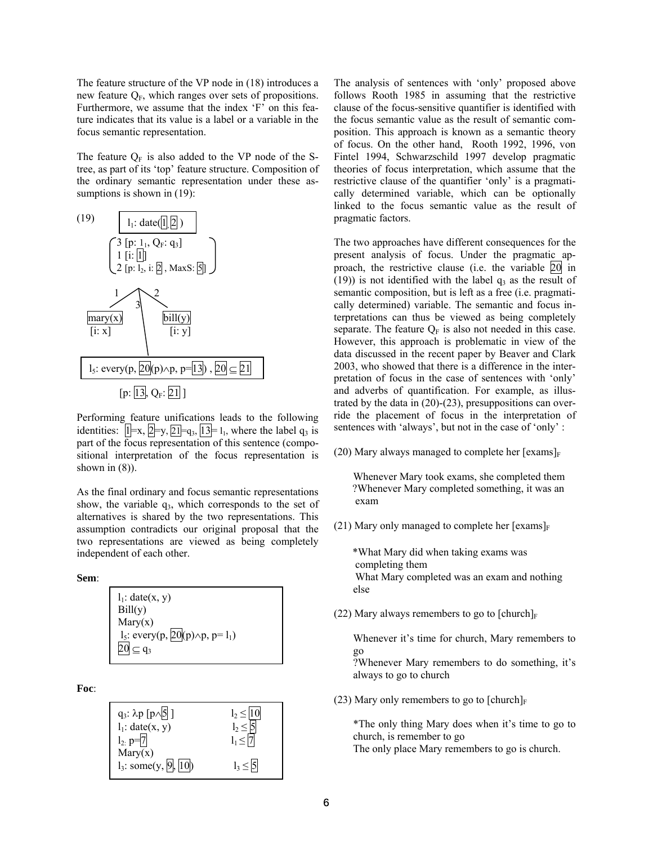The feature structure of the VP node in (18) introduces a new feature  $Q_F$ , which ranges over sets of propositions. Furthermore, we assume that the index 'F' on this feature indicates that its value is a label or a variable in the focus semantic representation.

The feature  $Q_F$  is also added to the VP node of the Stree, as part of its 'top' feature structure. Composition of the ordinary semantic representation under these assumptions is shown in  $(19)$ :



Performing feature unifications leads to the following identities:  $|1|=x, 2=y, 2=q_3, 13=1,$  where the label q<sub>3</sub> is part of the focus representation of this sentence (compositional interpretation of the focus representation is shown in  $(8)$ ).

As the final ordinary and focus semantic representations show, the variable  $q_3$ , which corresponds to the set of alternatives is shared by the two representations. This assumption contradicts our original proposal that the two representations are viewed as being completely independent of each other.

**Sem**:

| $l_1$ : date $(x, y)$                                       |  |
|-------------------------------------------------------------|--|
| Bill(y)                                                     |  |
| Mary(x)                                                     |  |
| $l_5$ : every(p, $\overline{20}$ (p) $\wedge$ p, p= $l_1$ ) |  |
| $20 \subseteq q_3$                                          |  |

**Foc**:



The analysis of sentences with 'only' proposed above follows Rooth 1985 in assuming that the restrictive clause of the focus-sensitive quantifier is identified with the focus semantic value as the result of semantic composition. This approach is known as a semantic theory of focus. On the other hand, Rooth 1992, 1996, von Fintel 1994, Schwarzschild 1997 develop pragmatic theories of focus interpretation, which assume that the restrictive clause of the quantifier 'only' is a pragmatically determined variable, which can be optionally linked to the focus semantic value as the result of pragmatic factors.

The two approaches have different consequences for the present analysis of focus. Under the pragmatic approach, the restrictive clause (i.e. the variable 20 in (19)) is not identified with the label  $q_3$  as the result of semantic composition, but is left as a free (i.e. pragmatically determined) variable. The semantic and focus interpretations can thus be viewed as being completely separate. The feature  $Q_F$  is also not needed in this case. However, this approach is problematic in view of the data discussed in the recent paper by Beaver and Clark 2003, who showed that there is a difference in the interpretation of focus in the case of sentences with 'only' and adverbs of quantification. For example, as illustrated by the data in (20)-(23), presuppositions can override the placement of focus in the interpretation of sentences with 'always', but not in the case of 'only' :

(20) Mary always managed to complete her  $[examples]_F$ 

 Whenever Mary took exams, she completed them ?Whenever Mary completed something, it was an exam

(21) Mary only managed to complete her  $[examples]_F$ 

 \*What Mary did when taking exams was completing them What Mary completed was an exam and nothing else

(22) Mary always remembers to go to  $[chunk]_F$ 

Whenever it's time for church, Mary remembers to go

?Whenever Mary remembers to do something, it's always to go to church

(23) Mary only remembers to go to  $[{\text{church}}]_F$ 

\*The only thing Mary does when it's time to go to church, is remember to go

The only place Mary remembers to go is church.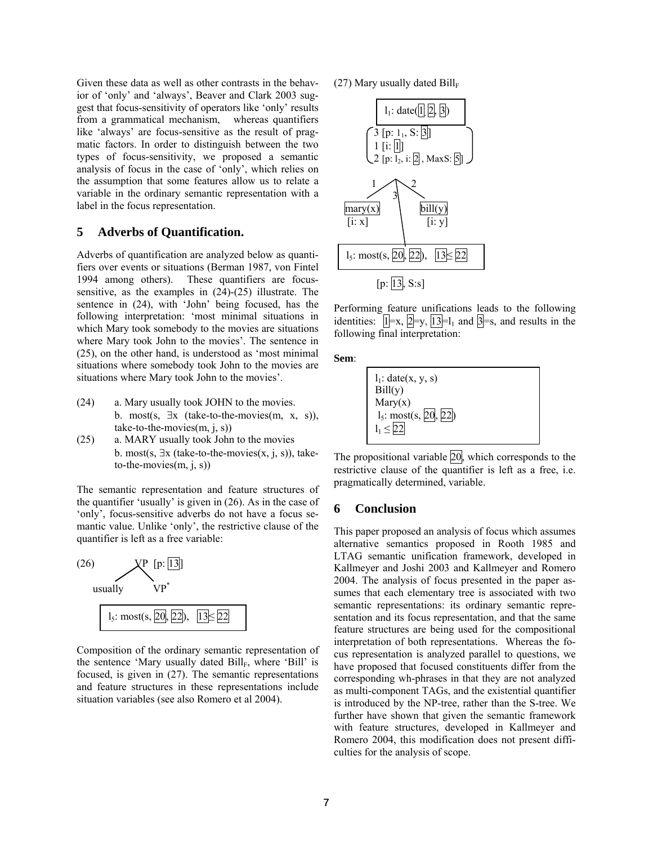Given these data as well as other contrasts in the behavior of 'only' and 'always', Beaver and Clark 2003 suggest that focus-sensitivity of operators like 'only' results from a grammatical mechanism, whereas quantifiers like 'always' are focus-sensitive as the result of pragmatic factors. In order to distinguish between the two types of focus-sensitivity, we proposed a semantic analysis of focus in the case of 'only', which relies on the assumption that some features allow us to relate a variable in the ordinary semantic representation with a label in the focus representation.

# **5 Adverbs of Quantification.**

Adverbs of quantification are analyzed below as quantifiers over events or situations (Berman 1987, von Fintel 1994 among others). These quantifiers are focussensitive, as the examples in (24)-(25) illustrate. The sentence in (24), with 'John' being focused, has the following interpretation: 'most minimal situations in which Mary took somebody to the movies are situations where Mary took John to the movies'. The sentence in (25), on the other hand, is understood as 'most minimal situations where somebody took John to the movies are situations where Mary took John to the movies'.

- (24) a. Mary usually took JOHN to the movies. b. most(s,  $\exists x$  (take-to-the-movies(m, x, s)), take-to-the-movies(m, j, s))
- (25) a. MARY usually took John to the movies b. most(s,  $\exists x$  (take-to-the-movies(x, j, s)), taketo-the-movies(m, j, s))

The semantic representation and feature structures of the quantifier 'usually' is given in (26). As in the case of 'only', focus-sensitive adverbs do not have a focus semantic value. Unlike 'only', the restrictive clause of the quantifier is left as a free variable:



Composition of the ordinary semantic representation of the sentence 'Mary usually dated  $\text{Bill}_F$ , where 'Bill' is focused, is given in (27). The semantic representations and feature structures in these representations include situation variables (see also Romero et al 2004).

(27) Mary usually dated  $Bill_F$ 



Performing feature unifications leads to the following identities:  $\mathbf{1} = \mathbf{x}, \mathbf{2} = \mathbf{y}, \mathbf{1} = \mathbf{3} = \mathbf{1}$  and  $\mathbf{3} = \mathbf{s}$ , and results in the following final interpretation:

**Sem**:



The propositional variable  $\overline{20}$ , which corresponds to the restrictive clause of the quantifier is left as a free, i.e. pragmatically determined, variable.

## **6 Conclusion**

This paper proposed an analysis of focus which assumes alternative semantics proposed in Rooth 1985 and LTAG semantic unification framework, developed in Kallmeyer and Joshi 2003 and Kallmeyer and Romero 2004. The analysis of focus presented in the paper assumes that each elementary tree is associated with two semantic representations: its ordinary semantic representation and its focus representation, and that the same feature structures are being used for the compositional interpretation of both representations. Whereas the focus representation is analyzed parallel to questions, we have proposed that focused constituents differ from the corresponding wh-phrases in that they are not analyzed as multi-component TAGs, and the existential quantifier is introduced by the NP-tree, rather than the S-tree. We further have shown that given the semantic framework with feature structures, developed in Kallmeyer and Romero 2004, this modification does not present difficulties for the analysis of scope.